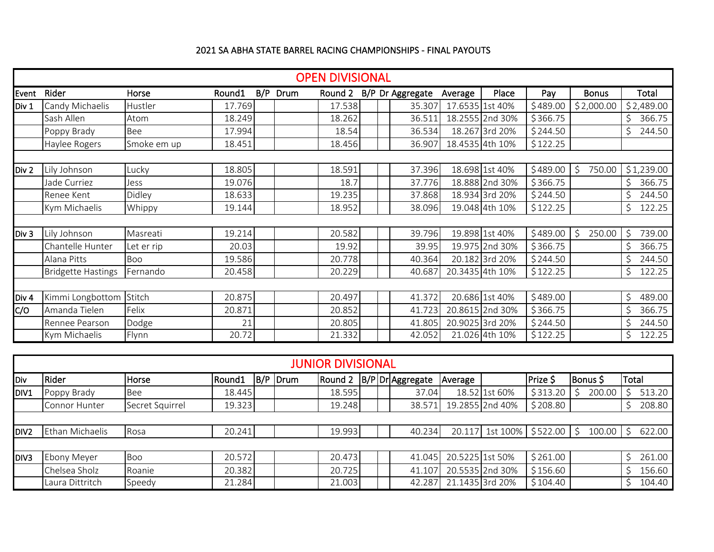## 2021 SA ABHA STATE BARREL RACING CHAMPIONSHIPS - FINAL PAYOUTS

|                  | <b>OPEN DIVISIONAL</b>    |               |        |     |      |         |  |  |                  |                 |                 |          |              |              |
|------------------|---------------------------|---------------|--------|-----|------|---------|--|--|------------------|-----------------|-----------------|----------|--------------|--------------|
| Event            | Rider                     | Horse         | Round1 | B/P | Drum | Round 2 |  |  | B/P Dr Aggregate | Average         | Place           | Pay      | <b>Bonus</b> | Total        |
| Div 1            | Candy Michaelis           | Hustler       | 17.769 |     |      | 17.538  |  |  | 35.307           | 17.6535 1st 40% |                 | \$489.00 | \$2,000.00   | \$2,489.00   |
|                  | Sash Allen                | Atom          | 18.249 |     |      | 18.262  |  |  | 36.511           |                 | 18.2555 2nd 30% | \$366.75 |              | 366.75       |
|                  | Poppy Brady               | Bee           | 17.994 |     |      | 18.54   |  |  | 36.534           |                 | 18.267 3rd 20%  | \$244.50 |              | 244.50       |
|                  | Haylee Rogers             | Smoke em up   | 18.451 |     |      | 18.456  |  |  | 36.907           |                 | 18.4535 4th 10% | \$122.25 |              |              |
|                  |                           |               |        |     |      |         |  |  |                  |                 |                 |          |              |              |
| Div 2            | Lily Johnson              | Lucky         | 18.805 |     |      | 18.591  |  |  | 37.396           |                 | 18.698 1st 40%  | \$489.00 | Ś<br>750.00  | \$1,239.00   |
|                  | Jade Curriez              | Jess          | 19.076 |     |      | 18.7    |  |  | 37.776           |                 | 18.888 2nd 30%  | \$366.75 |              | 366.75       |
|                  | Renee Kent                | Didley        | 18.633 |     |      | 19.235  |  |  | 37.868           |                 | 18.934 3rd 20%  | \$244.50 |              | 244.50       |
|                  | Kym Michaelis             | <b>Whippy</b> | 19.144 |     |      | 18.952  |  |  | 38.096           |                 | 19.048 4th 10%  | \$122.25 |              | Ś<br>122.25  |
|                  |                           |               |        |     |      |         |  |  |                  |                 |                 |          |              |              |
| Div 3            | Lily Johnson              | Masreati      | 19.214 |     |      | 20.582  |  |  | 39.796           |                 | 19.898 1st 40%  | \$489.00 | 250.00<br>Ŝ. | Ś<br>739.00  |
|                  | Chantelle Hunter          | Let er rip    | 20.03  |     |      | 19.92   |  |  | 39.95            |                 | 19.975 2nd 30%  | \$366.75 |              | 366.75       |
|                  | Alana Pitts               | Boo           | 19.586 |     |      | 20.778  |  |  | 40.364           |                 | 20.182 3rd 20%  | \$244.50 |              | 244.50       |
|                  | <b>Bridgette Hastings</b> | Fernando      | 20.458 |     |      | 20.229  |  |  | 40.687           |                 | 20.3435 4th 10% | \$122.25 |              | \$<br>122.25 |
|                  |                           |               |        |     |      |         |  |  |                  |                 |                 |          |              |              |
| Div <sub>4</sub> | Kimmi Longbottom          | Stitch        | 20.875 |     |      | 20.497  |  |  | 41.372           |                 | 20.686 1st 40%  | \$489.00 |              | Ś<br>489.00  |
| C/O              | Amanda Tielen             | Felix         | 20.871 |     |      | 20.852  |  |  | 41.723           |                 | 20.8615 2nd 30% | \$366.75 |              | 366.75       |
|                  | Rennee Pearson            | Dodge         | 21     |     |      | 20.805  |  |  | 41.805           |                 | 20.9025 3rd 20% | \$244.50 |              | 244.50       |
|                  | Kym Michaelis             | Flynn         | 20.72  |     |      | 21.332  |  |  | 42.052           |                 | 21.026 4th 10%  | \$122.25 |              | \$<br>122.25 |

|                  | <b>JUNIOR DIVISIONAL</b> |                 |        |  |          |        |  |  |                                |                 |                 |          |                                       |       |        |
|------------------|--------------------------|-----------------|--------|--|----------|--------|--|--|--------------------------------|-----------------|-----------------|----------|---------------------------------------|-------|--------|
| <b>Div</b>       | Rider                    | Horse           | Round1 |  | B/P Drum |        |  |  | Round 2   B/P   Dr   Aggregate | Average         |                 | Prize \$ | Bonus \$                              | Total |        |
| DIV1             | Poppy Brady              | <b>Bee</b>      | 18.445 |  |          | 18.595 |  |  | 37.04                          |                 | 18.52 1st 60%   | \$313.20 | 200.00                                |       | 513.20 |
|                  | Connor Hunter            | Secret Squirrel | 19.323 |  |          | 19.248 |  |  | 38.571                         |                 | 19.2855 2nd 40% | \$208.80 |                                       |       | 208.80 |
|                  |                          |                 |        |  |          |        |  |  |                                |                 |                 |          |                                       |       |        |
| DIV <sub>2</sub> | Ethan Michaelis          | Rosa            | 20.241 |  |          | 19.993 |  |  | 40.234                         |                 |                 |          | 20.117 1st 100%   \$522.00   \$100.00 |       | 622.00 |
|                  |                          |                 |        |  |          |        |  |  |                                |                 |                 |          |                                       |       |        |
| <b>DIV3</b>      | Ebony Meyer              | <b>Boo</b>      | 20.572 |  |          | 20.473 |  |  | 41.045                         | 20.5225 1st 50% |                 | \$261.00 |                                       |       | 261.00 |
|                  | Chelsea Sholz            | Roanie          | 20.382 |  |          | 20.725 |  |  | 41.107                         |                 | 20.5535 2nd 30% | \$156.60 |                                       |       | 156.60 |
|                  | Laura Dittritch          | Speedy          | 21.284 |  |          | 21.003 |  |  | 42.287                         |                 | 21.1435 3rd 20% | \$104.40 |                                       |       | 104.40 |